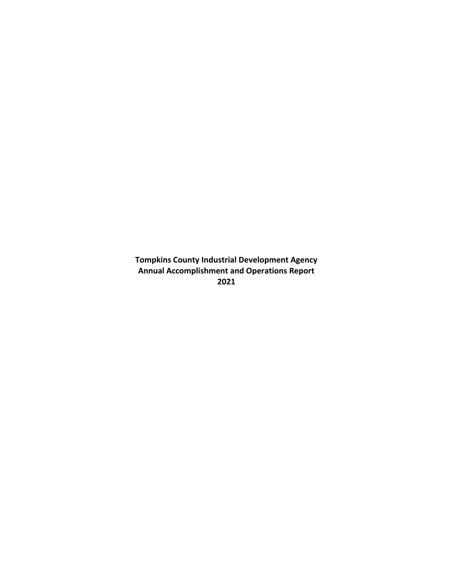**Tompkins County Industrial Development Agency Annual Accomplishment and Operations Report 2021**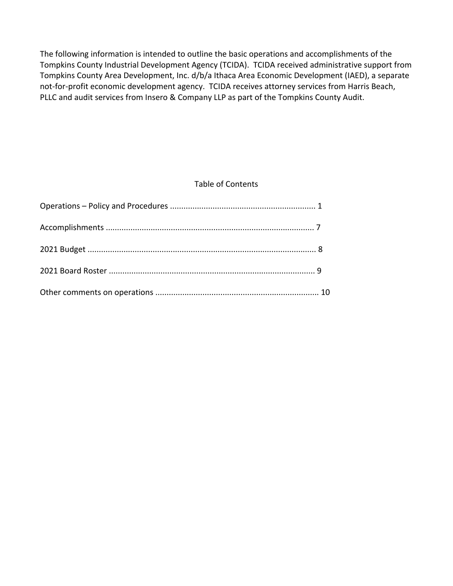The following information is intended to outline the basic operations and accomplishments of the Tompkins County Industrial Development Agency (TCIDA). TCIDA received administrative support from Tompkins County Area Development, Inc. d/b/a Ithaca Area Economic Development (IAED), a separate not-for-profit economic development agency. TCIDA receives attorney services from Harris Beach, PLLC and audit services from Insero & Company LLP as part of the Tompkins County Audit.

## Table of Contents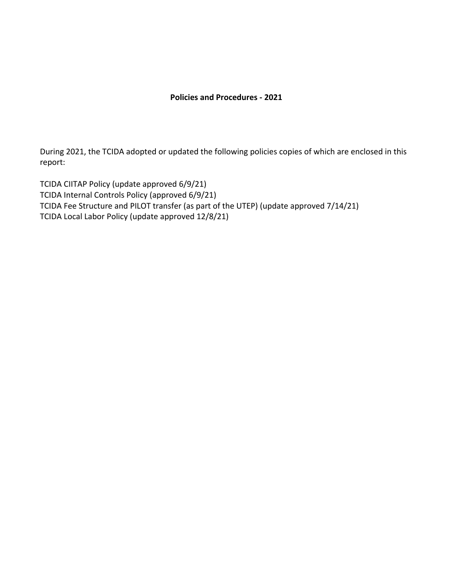## **Policies and Procedures - 2021**

During 2021, the TCIDA adopted or updated the following policies copies of which are enclosed in this report:

TCIDA CIITAP Policy (update approved 6/9/21) TCIDA Internal Controls Policy (approved 6/9/21) TCIDA Fee Structure and PILOT transfer (as part of the UTEP) (update approved 7/14/21) TCIDA Local Labor Policy (update approved 12/8/21)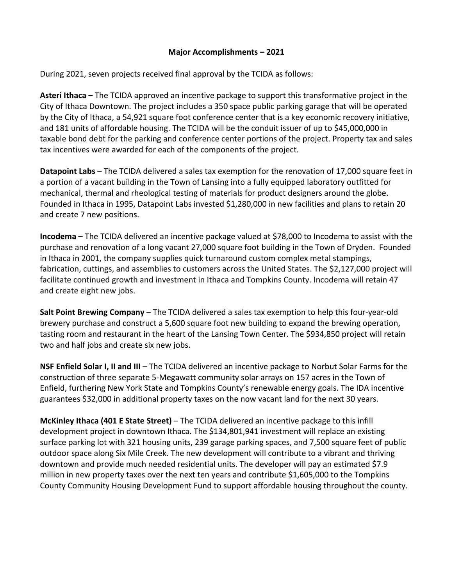## **Major Accomplishments – 2021**

During 2021, seven projects received final approval by the TCIDA as follows:

**Asteri Ithaca** – The TCIDA approved an incentive package to support this transformative project in the City of Ithaca Downtown. The project includes a 350 space public parking garage that will be operated by the City of Ithaca, a 54,921 square foot conference center that is a key economic recovery initiative, and 181 units of affordable housing. The TCIDA will be the conduit issuer of up to \$45,000,000 in taxable bond debt for the parking and conference center portions of the project. Property tax and sales tax incentives were awarded for each of the components of the project.

**Datapoint Labs** – The TCIDA delivered a sales tax exemption for the renovation of 17,000 square feet in a portion of a vacant building in the Town of Lansing into a fully equipped laboratory outfitted for mechanical, thermal and rheological testing of materials for product designers around the globe. Founded in Ithaca in 1995, Datapoint Labs invested \$1,280,000 in new facilities and plans to retain 20 and create 7 new positions.

**Incodema** – The TCIDA delivered an incentive package valued at \$78,000 to Incodema to assist with the purchase and renovation of a long vacant 27,000 square foot building in the Town of Dryden. Founded in Ithaca in 2001, the company supplies quick turnaround custom complex metal stampings, fabrication, cuttings, and assemblies to customers across the United States. The \$2,127,000 project will facilitate continued growth and investment in Ithaca and Tompkins County. Incodema will retain 47 and create eight new jobs.

**Salt Point Brewing Company** – The TCIDA delivered a sales tax exemption to help this four-year-old brewery purchase and construct a 5,600 square foot new building to expand the brewing operation, tasting room and restaurant in the heart of the Lansing Town Center. The \$934,850 project will retain two and half jobs and create six new jobs.

**NSF Enfield Solar I, II and III** – The TCIDA delivered an incentive package to Norbut Solar Farms for the construction of three separate 5-Megawatt community solar arrays on 157 acres in the Town of Enfield, furthering New York State and Tompkins County's renewable energy goals. The IDA incentive guarantees \$32,000 in additional property taxes on the now vacant land for the next 30 years.

**McKinley Ithaca (401 E State Street)** – The TCIDA delivered an incentive package to this infill development project in downtown Ithaca. The \$134,801,941 investment will replace an existing surface parking lot with 321 housing units, 239 garage parking spaces, and 7,500 square feet of public outdoor space along Six Mile Creek. The new development will contribute to a vibrant and thriving downtown and provide much needed residential units. The developer will pay an estimated \$7.9 million in new property taxes over the next ten years and contribute \$1,605,000 to the Tompkins County Community Housing Development Fund to support affordable housing throughout the county.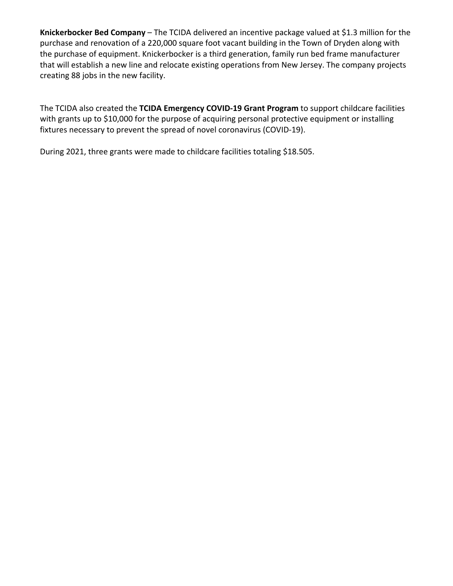**Knickerbocker Bed Company** – The TCIDA delivered an incentive package valued at \$1.3 million for the purchase and renovation of a 220,000 square foot vacant building in the Town of Dryden along with the purchase of equipment. Knickerbocker is a third generation, family run bed frame manufacturer that will establish a new line and relocate existing operations from New Jersey. The company projects creating 88 jobs in the new facility.

The TCIDA also created the **TCIDA Emergency COVID-19 Grant Program** to support childcare facilities with grants up to \$10,000 for the purpose of acquiring personal protective equipment or installing fixtures necessary to prevent the spread of novel coronavirus (COVID-19).

During 2021, three grants were made to childcare facilities totaling \$18.505.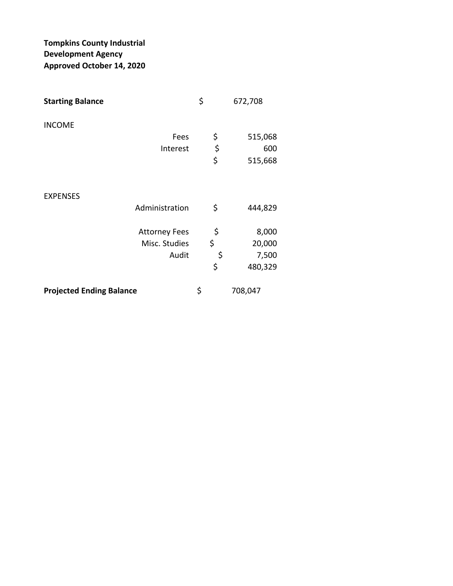# **Tompkins County Industrial Development Agency Approved October 14, 2020**

| <b>Starting Balance</b>         | \$<br>672,708 |
|---------------------------------|---------------|
| <b>INCOME</b>                   |               |
| Fees                            | \$<br>515,068 |
| Interest                        | \$<br>600     |
|                                 | \$<br>515,668 |
| <b>EXPENSES</b>                 |               |
| Administration                  | \$<br>444,829 |
| <b>Attorney Fees</b>            | \$<br>8,000   |
| Misc. Studies                   | \$<br>20,000  |
| Audit                           | \$<br>7,500   |
|                                 | \$<br>480,329 |
| <b>Projected Ending Balance</b> | \$<br>708,047 |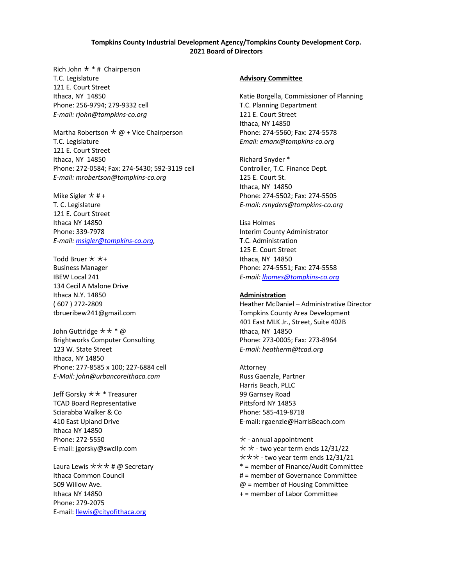#### **Tompkins County Industrial Development Agency/Tompkins County Development Corp. 2021 Board of Directors**

Rich John  $\star$  \* # Chairperson T.C. Legislature 121 E. Court Street Ithaca, NY 14850 Phone: 256-9794; 279-9332 cell *E-mail: rjohn@tompkins-co.org*

Martha Robertson  $\star \omega$  + Vice Chairperson T.C. Legislature 121 E. Court Street Ithaca, NY 14850 Phone: 272-0584; Fax: 274-5430; 592-3119 cell *E-mail: mrobertson@tompkins-co.org*

Mike Sigler  $\star$  #+ T. C. Legislature 121 E. Court Street Ithaca NY 14850 Phone: 339-7978 *E-mail: msigler@tompkins-co.org,* 

Todd Bruer  $\star \star_{+}$ Business Manager IBEW Local 241 134 Cecil A Malone Drive Ithaca N.Y. 14850 ( 607 ) 272-2809 tbrueribew241@gmail.com

John Guttridge  $\star \star * \omega$ Brightworks Computer Consulting 123 W. State Street Ithaca, NY 14850 Phone: 277-8585 x 100; 227-6884 cell *E-Mail: john@urbancoreithaca.com*

Jeff Gorsky  $\star\star$  \* Treasurer TCAD Board Representative Sciarabba Walker & Co 410 East Upland Drive Ithaca NY 14850 Phone: 272-5550 E-mail: jgorsky@swcllp.com

Laura Lewis  $\star\star\star\#$  @ Secretary Ithaca Common Council 509 Willow Ave. Ithaca NY 14850 Phone: 279-2075 E-mail: llewis@cityofithaca.org

#### **Advisory Committee**

Katie Borgella, Commissioner of Planning T.C. Planning Department 121 E. Court Street Ithaca, NY 14850 Phone: 274-5560; Fax: 274-5578 *Email: emarx@tompkins-co.org*

Richard Snyder \* Controller, T.C. Finance Dept. 125 E. Court St. Ithaca, NY 14850 Phone: 274-5502; Fax: 274-5505 *E-mail: rsnyders@tompkins-co.org*

Lisa Holmes Interim County Administrator T.C. Administration 125 E. Court Street Ithaca, NY 14850 Phone: 274-5551; Fax: 274-5558 *E-mail: lhomes@tompkins-co.org*

#### **Administration**

Heather McDaniel – Administrative Director Tompkins County Area Development 401 East MLK Jr., Street, Suite 402B Ithaca, NY 14850 Phone: 273-0005; Fax: 273-8964 *E-mail: heatherm@tcad.org*

#### Attorney Russ Gaenzle, Partner Harris Beach, PLLC 99 Garnsey Road Pittsford NY 14853 Phone: 585-419-8718

E-mail: rgaenzle@HarrisBeach.com

 $\star$  - annual appointment  $\star \star$  - two year term ends 12/31/22  $\star\star\star$  - two year term ends 12/31/21 \* = member of Finance/Audit Committee # = member of Governance Committee @ = member of Housing Committee + = member of Labor Committee